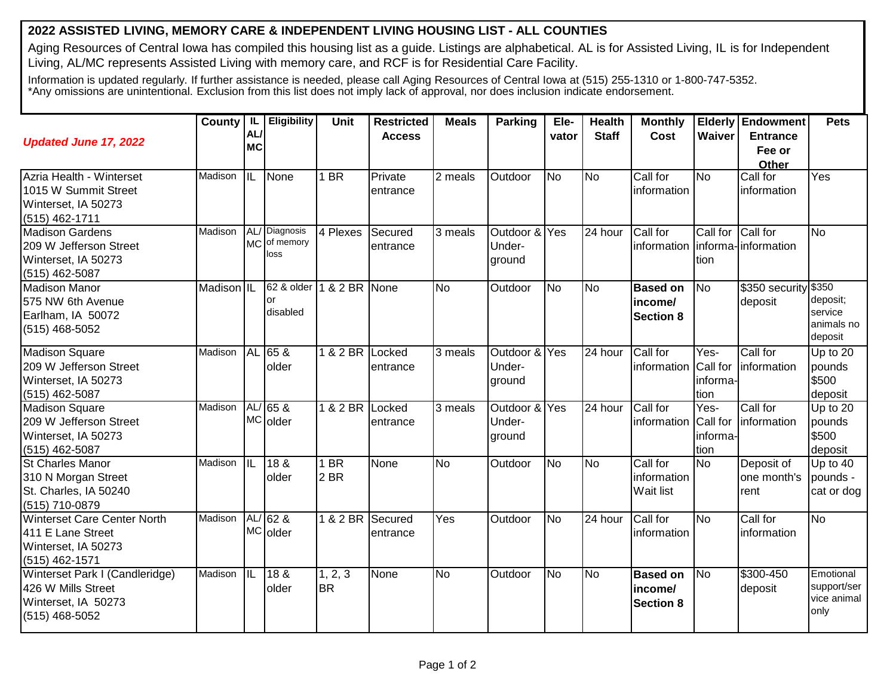## **2022 ASSISTED LIVING, MEMORY CARE & INDEPENDENT LIVING HOUSING LIST - ALL COUNTIES**

Aging Resources of Central Iowa has compiled this housing list as a guide. Listings are alphabetical. AL is for Assisted Living, IL is for Independent Living, AL/MC represents Assisted Living with memory care, and RCF is for Residential Care Facility.

Information is updated regularly. If further assistance is needed, please call Aging Resources of Central Iowa at (515) 255-1310 or 1-800-747-5352. \*Any omissions are unintentional. Exclusion from this list does not imply lack of approval, nor does inclusion indicate endorsement.

| <b>Updated June 17, 2022</b>                                                                     | County     | -IL.<br>AL<br><b>MC</b> | Eligibility                                | <b>Unit</b>          | <b>Restricted</b><br><b>Access</b> | <b>Meals</b>   | <b>Parking</b>                    | Ele-<br>vator  | <b>Health</b><br><b>Staff</b> | <b>Monthly</b><br>Cost                         | Waiver                   | <b>Elderly Endowment</b><br><b>Entrance</b><br>Fee or<br><b>Other</b> | <b>Pets</b>                                           |
|--------------------------------------------------------------------------------------------------|------------|-------------------------|--------------------------------------------|----------------------|------------------------------------|----------------|-----------------------------------|----------------|-------------------------------|------------------------------------------------|--------------------------|-----------------------------------------------------------------------|-------------------------------------------------------|
| Azria Health - Winterset<br>1015 W Summit Street<br>Winterset, IA 50273<br>(515) 462-1711        | Madison    | IIL                     | None                                       | 1 BR                 | Private<br>entrance                | 2 meals        | Outdoor                           | <b>No</b>      | <b>No</b>                     | Call for<br>information                        | <b>No</b>                | Call for<br>information                                               | Yes                                                   |
| <b>Madison Gardens</b><br>209 W Jefferson Street<br>Winterset, IA 50273<br>(515) 462-5087        | Madison    | <b>MC</b>               | AL/ Diagnosis<br>of memory<br>loss         | 4 Plexes             | Secured<br>entrance                | 3 meals        | Outdoor & Yes<br>Under-<br>ground |                | 24 hour                       | Call for<br>information   informa- information | Call for<br>tion         | Call for                                                              | <b>No</b>                                             |
| <b>Madison Manor</b><br>575 NW 6th Avenue<br>Earlham, IA 50072<br>$(515)$ 468-5052               | Madison IL |                         | 62 & older 1 & 2 BR None<br>or<br>disabled |                      |                                    | N <sub>o</sub> | Outdoor                           | N <sub>o</sub> | <b>No</b>                     | <b>Based on</b><br>income/<br><b>Section 8</b> | No                       | \$350 security<br>deposit                                             | \$350<br>deposit;<br>service<br>animals no<br>deposit |
| <b>Madison Square</b><br>209 W Jefferson Street<br>Winterset, IA 50273<br>$(515)$ 462-5087       | Madison    | <b>AL</b>               | 65 &<br>older                              | 1 & 2 BR Locked      | entrance                           | 3 meals        | Outdoor & Yes<br>Under-<br>ground |                | 24 hour                       | Call for<br>information Call for               | Yes-<br>informa-<br>tion | Call for<br>information                                               | Up to $20$<br>pounds<br>\$500<br>deposit              |
| <b>Madison Square</b><br>209 W Jefferson Street<br>Winterset, IA 50273<br>(515) 462-5087         | Madison    |                         | $AL/65$ &<br>MC older                      | 1 & 2 BR Locked      | entrance                           | 3 meals        | Outdoor & Yes<br>Under-<br>ground |                | 24 hour                       | Call for<br>information Call for               | Yes-<br>informa-<br>tion | Call for<br>information                                               | Up to 20<br>pounds<br>\$500<br>deposit                |
| <b>St Charles Manor</b><br>310 N Morgan Street<br>St. Charles, IA 50240<br>(515) 710-0879        | Madison    | ℿ                       | 18 <sub>8</sub><br>older                   | 1 BR<br>2 BR         | None                               | <b>No</b>      | Outdoor                           | No             | <b>No</b>                     | Call for<br>information<br>Wait list           | <b>No</b>                | Deposit of<br>one month's<br>rent                                     | Up to $40$<br>pounds -<br>cat or dog                  |
| <b>Winterset Care Center North</b><br>411 E Lane Street<br>Winterset, IA 50273<br>(515) 462-1571 | Madison    |                         | $AL/62$ &<br>MC older                      | 1 & 2 BR             | Secured<br>entrance                | Yes            | Outdoor                           | No             | 24 hour                       | Call for<br>information                        | <b>No</b>                | Call for<br>information                                               | <b>No</b>                                             |
| Winterset Park I (Candleridge)<br>426 W Mills Street<br>Winterset, IA 50273<br>$(515)$ 468-5052  | Madison    | IIL                     | 18 &<br>older                              | 1, 2, 3<br><b>BR</b> | None                               | <b>No</b>      | Outdoor                           | <b>No</b>      | N <sub>o</sub>                | <b>Based on</b><br>income/<br><b>Section 8</b> | No                       | $$300-450$<br>deposit                                                 | Emotional<br>support/ser<br>vice animal<br>only       |